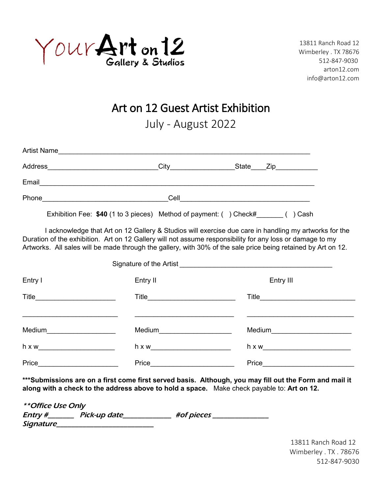

13811 Ranch Road 12 Wimberley . TX 78676 512-847-9030 arton12.com info@arton12.com

Art on 12 Guest Artist Exhibition

July - August 2022

| <b>Artist Name</b> |                                |                                                                   |  |                                    |
|--------------------|--------------------------------|-------------------------------------------------------------------|--|------------------------------------|
|                    | Address ______________________ | City                                                              |  | State Zip <sub>___</sub> _________ |
| Email              |                                |                                                                   |  |                                    |
| Phone              |                                | Cell                                                              |  |                                    |
|                    |                                | Exhibition Fee: \$40 (1 to 3 pieces) Method of payment: () Check# |  | Cash                               |

I acknowledge that Art on 12 Gallery & Studios will exercise due care in handling my artworks for the Duration of the exhibition. Art on 12 Gallery will not assume responsibility for any loss or damage to my Artworks. All sales will be made through the gallery, with 30% of the sale price being retained by Art on 12.

| Signature of the Artist <b>Signature</b> of the Artist  |                             |                            |  |  |
|---------------------------------------------------------|-----------------------------|----------------------------|--|--|
| Entry I                                                 | Entry II                    | Entry III                  |  |  |
| Title _______________________                           |                             | Title_____________________ |  |  |
|                                                         |                             |                            |  |  |
| Medium                                                  | Medium <u>_____________</u> | Medium __________________  |  |  |
| h x w<br><u> 1980 - Jan Barbara Barbara, manazarta </u> |                             |                            |  |  |
| Price                                                   | Price                       | Price                      |  |  |

**\*\*\*Submissions are on a first come first served basis. Although, you may fill out the Form and mail it along with a check to the address above to hold a space.** Make check payable to: **Art on 12.**

| <i><b>**Office Use Only</b></i> |              |  |            |  |  |  |  |
|---------------------------------|--------------|--|------------|--|--|--|--|
| Entry #_                        | Pick-up date |  | #of pieces |  |  |  |  |
| <i>Signature_</i>               |              |  |            |  |  |  |  |

13811 Ranch Road 12 Wimberley . TX . 78676 512-847-9030